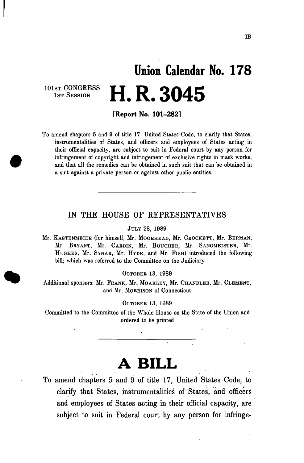# **Union Calendar No. 17 8 H. R. 3045**

101st CONGRESS 1ST SESSION

**[Report No. 101-282]** 

To amend chapters 5 and 9 of title 17, United States Code, to clarify that States, instrumentalities of States, and officers and employees of States acting in their official capacity, are subject to suit in Federal court by any person for infringement of copyright and infringement of exclusive rights in mask works, and that all the remedies can be obtained in such suit that can be obtained in a suit against a private person or against other public entities.

### IN THE HOUSE OF REPRESENTATIVES

JULY 28, 1989

Mr. KASTENMEIEB (for himself, Mr. MOOBHEAD, Mr. CBOCKETT, Mr. BEBMAN, Mr. BBYANT, Mr. CABDIN, Mr. BOUCHEB, Mr. SANGMEISTEB, Mr. HUGHES, Mr. SYNAB, Mr. HYDE, and Mr. FISH) introduced the following bill; which was referred to the Committee on the Judiciary

OCTOBEB 13, 1989

Additional sponsors: Mr. FRANK, Mr. MOAKLEY, Mr. CHANDLER, Mr. CLEMENT, and Mr. MOBBISON of Connecticut

OCTOBEB 13, 1989

Committed' to the Committee of the Whole House on the State of the Union and ordered to be printed

## **A BILL**

To amend chapters 5 and 9 of title 17, United States Code, to clarify that States, instrumentalities of States, and officers and employees of States acting in their official capacity, are subject to suit in Federal court by any person for infringe-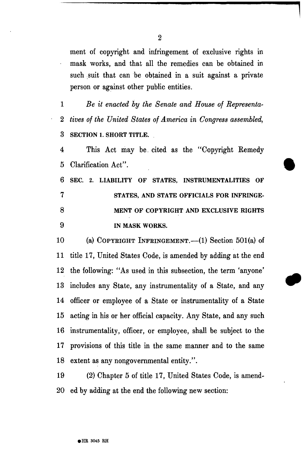ment of copyright and infringement of exclusive rights in mask works, and that all the remedies can be obtained in such suit that can be obtained in a suit against a private person or against other public entities.

1 *Be it enacted by the Senate and House of Representa-*2 *tives of the United States of America in Congress assembled,*  **3 SECTION 1. SHORT TITLE.** 

4 This Act may be. cited as the "Copyright Remedy 5 Clarification Act".

**6 SEC. 2. LIABILITY OF STATES, INSTRUMENTALITIES OF 7 STATES, AND STATE OFFICIALS FOR INFRINGE-8 MENT OF COPYRIGHT AND EXCLUSIVE RIGHTS 9 IN MASK WORKS.** 

10 (a) COPYEIGHT INFEINGEMENT.—(1) Section 501(a) of 11 title 17, United States Code, is amended by adding at the end 12 the following: "As used in this subsection, the term 'anyone' 13 includes any State, any instrumentality of a State, and any 14 officer or employee of a State or instrumentality of a State 15 acting in his or her official capacity. Any State, and any such 16 instrumentality, officer, or employee, shall be subject to the 17 provisions of this title in the same manner and to the same 18 extent as any nongovernmental entity.".

19 (2) Chapter 5 of title 17, United States Code, is amend-20 ed by adding at the end the following new section:

**2**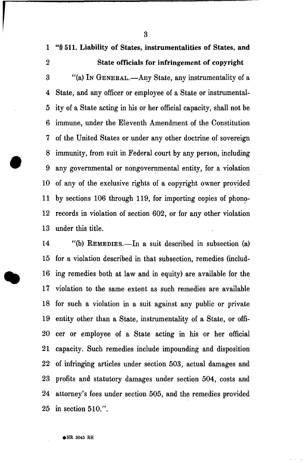1 "§ 511. Liability of States, instrumentalities of States, and

3

### 2 State officials for infringement of copyright

3 "(a) IN GENERAL.—Any State, any instrumentality of a 4 State, and any officer or employee of a State or instrumental-5 ity of a State acting in his or her official capacity, shall not be 6 immune, under the Eleventh Amendment of the Constitution 7 of the United States or under any other doctrine of sovereign 8 immunity, from suit in Federal court by any person, including 9 any governmental or nongovernmental entity, for a violation 10 of any of the exclusive rights of a copyright owner provided 11 by sections 106 through 119, for importing copies of phono-12 records in violation of section 602, or for any other violation 13 under this title.

14 "(b) REMEDIES.—In a suit described in subsection (a) 15 for a violation described in that subsection, remedies (includ-16 ing remedies both at law and in equity) are available for the 17 violation to the same extent as such remedies are available 18 for such a violation in a suit against any public or private 19 entity other than a State, instrumentality of a State, or offi-20 cer or employee of a State acting in his or her official 21 capacity. Such remedies include impounding and disposition 22 of infringing articles under section 503, actual damages and 23 profits and statutory damages under section 504, costs and 24 attorney's fees under section 505, and the remedies provided 25 in section 510.".

**• HE 3045 RH**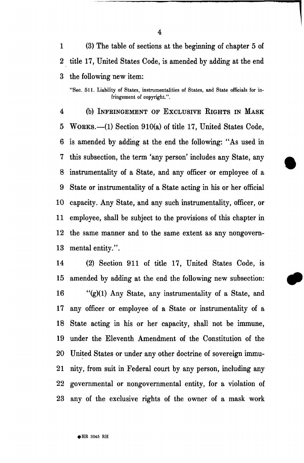1 (3) The table of sections at the beginning of chapter 5 of 2 title 17, United States Code, is amended by adding at the end 3 the following new item:

"Sec. 511. Liability of States, instrumentalities of States, and State officials for infringement of copyright.".

4 (b) INFEINGEMENT OF EXCLUSIVE RIGHTS IN MASK 5 WORKS.—(1) Section 910(a) of title 17, United States Code, 6 is amended by adding at the end the following: "As used in 7 this subsection, the term 'any person' includes any State, any 8 instrumentality of a State, and any officer or employee of a 9 State or instrumentality of a State acting in his or her official 10 capacity. Any State, and any such instrumentality, officer, or 11 employee, shall be subject to the provisions of this chapter in 12 the same manner and to the same extent as any nongovern-13 mental entity.".

14 (2) Section 911 of title 17, United States Code, is 15 amended by adding at the end the following new subsection: 16 "(g)(1) Any State, any instrumentality of a State, and 17 any officer or employee of a State or instrumentality of a 18 State acting in his or her capacity, shall not be immune, 19 under the Eleventh Amendment of the Constitution of the 20 United States or under any other doctrine of sovereign immu-21 nity, from suit in Federal court by any person, including any 22 governmental or nongovernmental entity, for a violation of 23 any of the exclusive rights of the owner of a mask work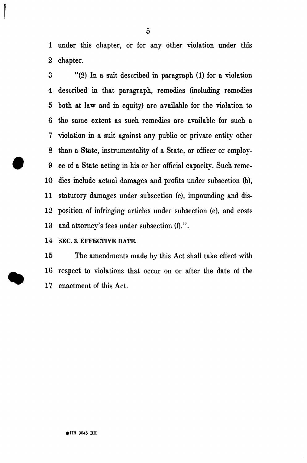1 under this chapter, or for any other violation under this 2 chapter.

3 "(2) In a suit described in paragraph (1) for a violation 4 described in that paragraph, remedies (including remedies 5 both at law and in equity) are available for the violation to 6 the same extent as such remedies are available for such a 7 violation in a suit against any public or private entity other 8 than a State, instrumentality of a State, or officer or employ-9 ee of a State acting in his or her official capacity. Such reme-10 dies include actual damages and profits under subsection (b), 11 statutory damages under subsection (c), impounding and dis-12 position of infringing articles under subsection (e), and costs 13 and attorney's fees under subsection (f).".

14 SEC. 3. EFFECTIVE DATE.

15 The amendments made by this Act shall take effect with 16 respect to violations that occur on or after the date of the 17 enactment of this Act.